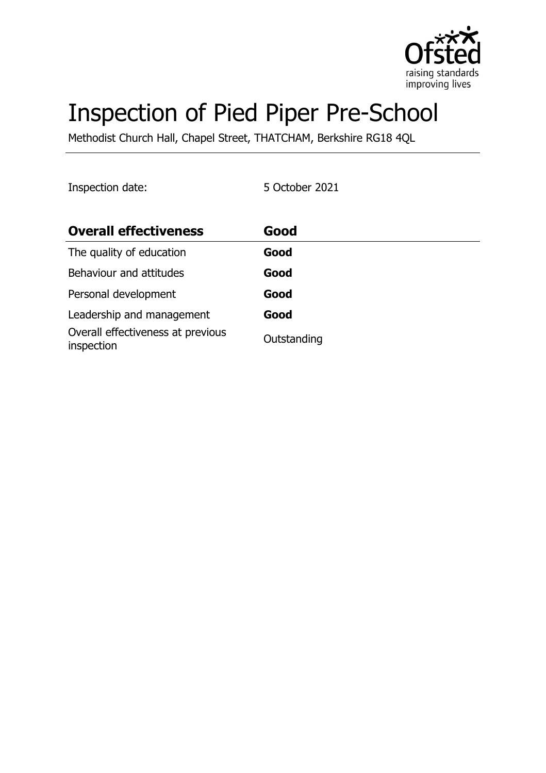

# Inspection of Pied Piper Pre-School

Methodist Church Hall, Chapel Street, THATCHAM, Berkshire RG18 4QL

Inspection date: 5 October 2021

| <b>Overall effectiveness</b>                    | Good        |
|-------------------------------------------------|-------------|
| The quality of education                        | Good        |
| Behaviour and attitudes                         | Good        |
| Personal development                            | Good        |
| Leadership and management                       | Good        |
| Overall effectiveness at previous<br>inspection | Outstanding |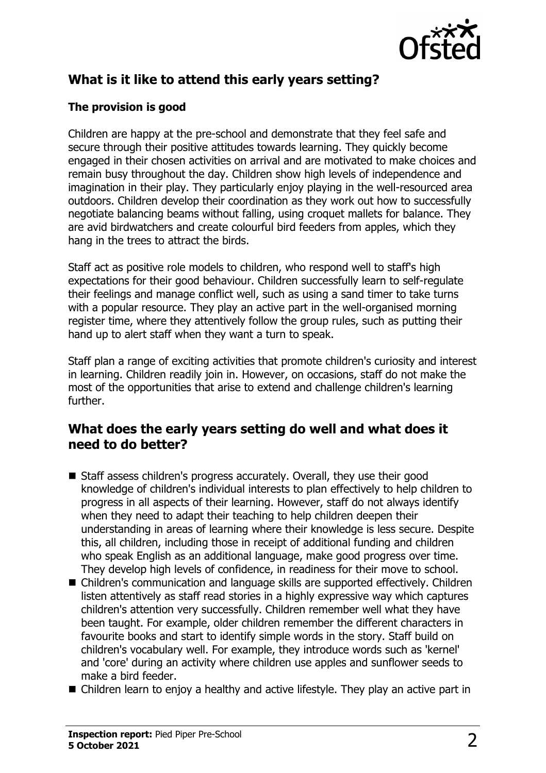

# **What is it like to attend this early years setting?**

#### **The provision is good**

Children are happy at the pre-school and demonstrate that they feel safe and secure through their positive attitudes towards learning. They quickly become engaged in their chosen activities on arrival and are motivated to make choices and remain busy throughout the day. Children show high levels of independence and imagination in their play. They particularly enjoy playing in the well-resourced area outdoors. Children develop their coordination as they work out how to successfully negotiate balancing beams without falling, using croquet mallets for balance. They are avid birdwatchers and create colourful bird feeders from apples, which they hang in the trees to attract the birds.

Staff act as positive role models to children, who respond well to staff's high expectations for their good behaviour. Children successfully learn to self-regulate their feelings and manage conflict well, such as using a sand timer to take turns with a popular resource. They play an active part in the well-organised morning register time, where they attentively follow the group rules, such as putting their hand up to alert staff when they want a turn to speak.

Staff plan a range of exciting activities that promote children's curiosity and interest in learning. Children readily join in. However, on occasions, staff do not make the most of the opportunities that arise to extend and challenge children's learning further.

#### **What does the early years setting do well and what does it need to do better?**

- Staff assess children's progress accurately. Overall, they use their good knowledge of children's individual interests to plan effectively to help children to progress in all aspects of their learning. However, staff do not always identify when they need to adapt their teaching to help children deepen their understanding in areas of learning where their knowledge is less secure. Despite this, all children, including those in receipt of additional funding and children who speak English as an additional language, make good progress over time. They develop high levels of confidence, in readiness for their move to school.
- Children's communication and language skills are supported effectively. Children listen attentively as staff read stories in a highly expressive way which captures children's attention very successfully. Children remember well what they have been taught. For example, older children remember the different characters in favourite books and start to identify simple words in the story. Staff build on children's vocabulary well. For example, they introduce words such as 'kernel' and 'core' during an activity where children use apples and sunflower seeds to make a bird feeder.
- $\blacksquare$  Children learn to enjoy a healthy and active lifestyle. They play an active part in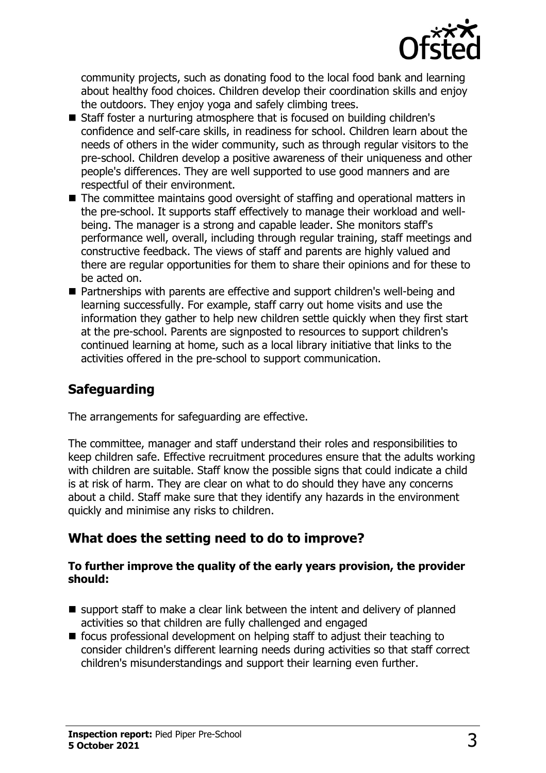

community projects, such as donating food to the local food bank and learning about healthy food choices. Children develop their coordination skills and enjoy the outdoors. They enjoy yoga and safely climbing trees.

- Staff foster a nurturing atmosphere that is focused on building children's confidence and self-care skills, in readiness for school. Children learn about the needs of others in the wider community, such as through regular visitors to the pre-school. Children develop a positive awareness of their uniqueness and other people's differences. They are well supported to use good manners and are respectful of their environment.
- $\blacksquare$  The committee maintains good oversight of staffing and operational matters in the pre-school. It supports staff effectively to manage their workload and wellbeing. The manager is a strong and capable leader. She monitors staff's performance well, overall, including through regular training, staff meetings and constructive feedback. The views of staff and parents are highly valued and there are regular opportunities for them to share their opinions and for these to be acted on.
- $\blacksquare$  Partnerships with parents are effective and support children's well-being and learning successfully. For example, staff carry out home visits and use the information they gather to help new children settle quickly when they first start at the pre-school. Parents are signposted to resources to support children's continued learning at home, such as a local library initiative that links to the activities offered in the pre-school to support communication.

# **Safeguarding**

The arrangements for safeguarding are effective.

The committee, manager and staff understand their roles and responsibilities to keep children safe. Effective recruitment procedures ensure that the adults working with children are suitable. Staff know the possible signs that could indicate a child is at risk of harm. They are clear on what to do should they have any concerns about a child. Staff make sure that they identify any hazards in the environment quickly and minimise any risks to children.

## **What does the setting need to do to improve?**

#### **To further improve the quality of the early years provision, the provider should:**

- $\blacksquare$  support staff to make a clear link between the intent and delivery of planned activities so that children are fully challenged and engaged
- $\blacksquare$  focus professional development on helping staff to adjust their teaching to consider children's different learning needs during activities so that staff correct children's misunderstandings and support their learning even further.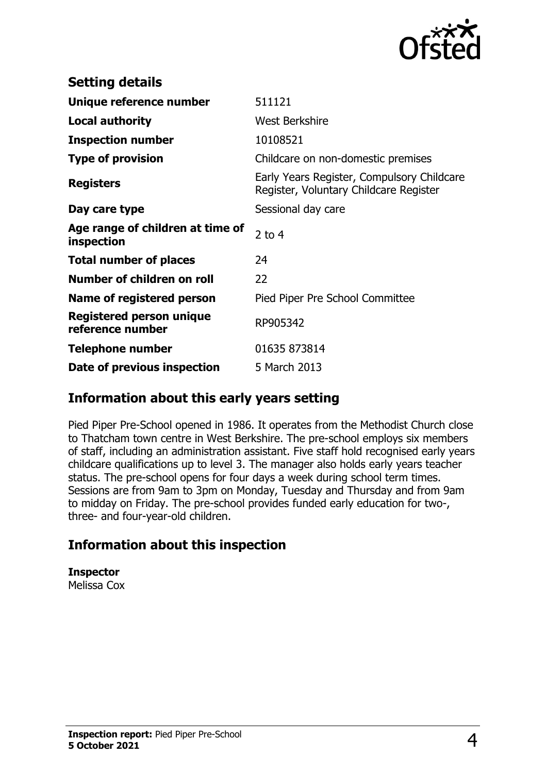

| <b>Setting details</b>                         |                                                                                      |
|------------------------------------------------|--------------------------------------------------------------------------------------|
| Unique reference number                        | 511121                                                                               |
| <b>Local authority</b>                         | <b>West Berkshire</b>                                                                |
| <b>Inspection number</b>                       | 10108521                                                                             |
| <b>Type of provision</b>                       | Childcare on non-domestic premises                                                   |
| <b>Registers</b>                               | Early Years Register, Compulsory Childcare<br>Register, Voluntary Childcare Register |
| Day care type                                  | Sessional day care                                                                   |
| Age range of children at time of<br>inspection | 2 to $4$                                                                             |
| <b>Total number of places</b>                  | 24                                                                                   |
| Number of children on roll                     | 22                                                                                   |
| Name of registered person                      | Pied Piper Pre School Committee                                                      |
| Registered person unique<br>reference number   | RP905342                                                                             |
| Telephone number                               | 01635 873814                                                                         |
| Date of previous inspection                    | 5 March 2013                                                                         |

### **Information about this early years setting**

Pied Piper Pre-School opened in 1986. It operates from the Methodist Church close to Thatcham town centre in West Berkshire. The pre-school employs six members of staff, including an administration assistant. Five staff hold recognised early years childcare qualifications up to level 3. The manager also holds early years teacher status. The pre-school opens for four days a week during school term times. Sessions are from 9am to 3pm on Monday, Tuesday and Thursday and from 9am to midday on Friday. The pre-school provides funded early education for two-, three- and four-year-old children.

## **Information about this inspection**

**Inspector** Melissa Cox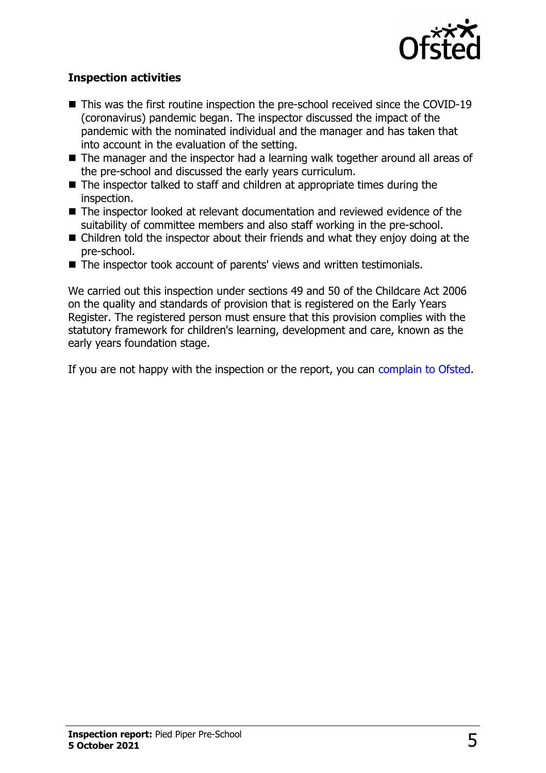

#### **Inspection activities**

- $\blacksquare$  This was the first routine inspection the pre-school received since the COVID-19 (coronavirus) pandemic began. The inspector discussed the impact of the pandemic with the nominated individual and the manager and has taken that into account in the evaluation of the setting.
- $\blacksquare$  The manager and the inspector had a learning walk together around all areas of the pre-school and discussed the early years curriculum.
- $\blacksquare$  The inspector talked to staff and children at appropriate times during the inspection.
- The inspector looked at relevant documentation and reviewed evidence of the suitability of committee members and also staff working in the pre-school.
- $\blacksquare$  Children told the inspector about their friends and what they enjoy doing at the pre-school.
- $\blacksquare$  The inspector took account of parents' views and written testimonials.

We carried out this inspection under sections 49 and 50 of the Childcare Act 2006 on the quality and standards of provision that is registered on the Early Years Register. The registered person must ensure that this provision complies with the statutory framework for children's learning, development and care, known as the early years foundation stage.

If you are not happy with the inspection or the report, you can [complain to Ofsted](http://www.gov.uk/complain-ofsted-report).